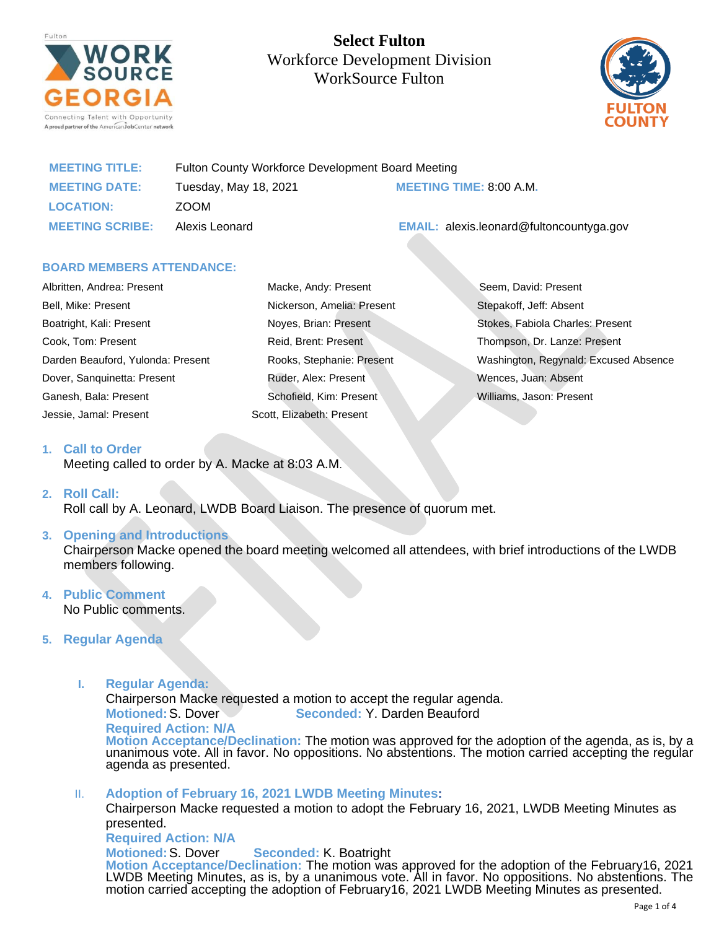

**Select Fulton**  Workforce Development Division WorkSource Fulton



| <b>MEETING TITLE:</b>  | Fulton County Workforce Development Board Meeting |                                                 |
|------------------------|---------------------------------------------------|-------------------------------------------------|
| <b>MEETING DATE:</b>   | Tuesday, May 18, 2021                             | <b>MEETING TIME: 8:00 A.M.</b>                  |
| <b>LOCATION:</b>       | ZOOM                                              |                                                 |
| <b>MEETING SCRIBE:</b> | Alexis Leonard                                    | <b>EMAIL:</b> alexis.leonard@fultoncountyga.gov |

#### **BOARD MEMBERS ATTENDANCE:**

| Albritten, Andrea: Present        | Macke, Andy: Present       | Seem, David: Present                  |
|-----------------------------------|----------------------------|---------------------------------------|
| Bell, Mike: Present               | Nickerson, Amelia: Present | Stepakoff, Jeff: Absent               |
| Boatright, Kali: Present          | Noyes, Brian: Present      | Stokes, Fabiola Charles: Present      |
| Cook, Tom: Present                | Reid, Brent: Present       | Thompson, Dr. Lanze: Present          |
| Darden Beauford, Yulonda: Present | Rooks, Stephanie: Present  | Washington, Regynald: Excused Absence |
| Dover, Sanguinetta: Present       | Ruder, Alex: Present       | Wences, Juan: Absent                  |
| Ganesh, Bala: Present             | Schofield, Kim: Present    | Williams, Jason: Present              |
| Jessie, Jamal: Present            | Scott, Elizabeth: Present  |                                       |

#### **1. Call to Order**

Meeting called to order by A. Macke at 8:03 A.M.

#### **2. Roll Call:**

Roll call by A. Leonard, LWDB Board Liaison. The presence of quorum met.

# **3. Opening and Introductions**

Chairperson Macke opened the board meeting welcomed all attendees, with brief introductions of the LWDB members following.

#### **4. Public Comment** No Public comments.

# **5. Regular Agenda**

**I. Regular Agenda:**

Chairperson Macke requested a motion to accept the regular agenda.

**Motioned:**S. Dover **Seconded:** Y. Darden Beauford

**Required Action: N/A**

**Motion Acceptance/Declination:** The motion was approved for the adoption of the agenda, as is, by a unanimous vote. All in favor. No oppositions. No abstentions. The motion carried accepting the regular agenda as presented.

II. **Adoption of February 16, 2021 LWDB Meeting Minutes:**

Chairperson Macke requested a motion to adopt the February 16, 2021, LWDB Meeting Minutes as presented.

**Required Action: N/A**

**Motioned:**S. Dover **Seconded:** K. Boatright **Motion Acceptance/Declination:** The motion was approved for the adoption of the February16, 2021 LWDB Meeting Minutes, as is, by a unanimous vote. All in favor. No oppositions. No abstentions. The motion carried accepting the adoption of February16, 2021 LWDB Meeting Minutes as presented.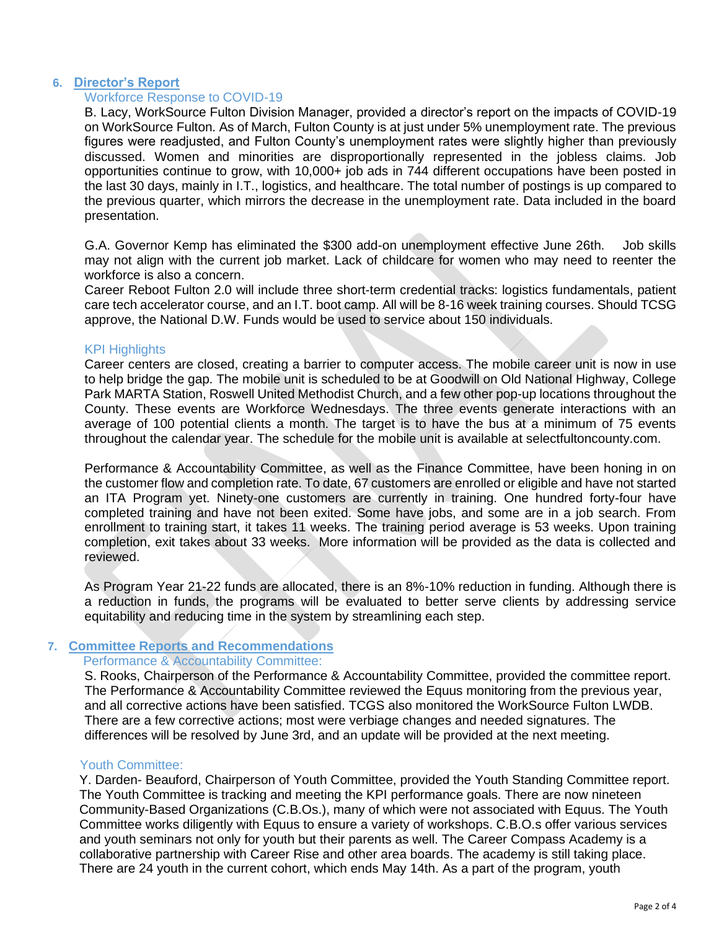# **6. Director's Report**

# Workforce Response to COVID-19

B. Lacy, WorkSource Fulton Division Manager, provided a director's report on the impacts of COVID-19 on WorkSource Fulton. As of March, Fulton County is at just under 5% unemployment rate. The previous figures were readjusted, and Fulton County's unemployment rates were slightly higher than previously discussed. Women and minorities are disproportionally represented in the jobless claims. Job opportunities continue to grow, with 10,000+ job ads in 744 different occupations have been posted in the last 30 days, mainly in I.T., logistics, and healthcare. The total number of postings is up compared to the previous quarter, which mirrors the decrease in the unemployment rate. Data included in the board presentation.

G.A. Governor Kemp has eliminated the \$300 add-on unemployment effective June 26th. Job skills may not align with the current job market. Lack of childcare for women who may need to reenter the workforce is also a concern.

Career Reboot Fulton 2.0 will include three short-term credential tracks: logistics fundamentals, patient care tech accelerator course, and an I.T. boot camp. All will be 8-16 week training courses. Should TCSG approve, the National D.W. Funds would be used to service about 150 individuals.

# KPI Highlights

Career centers are closed, creating a barrier to computer access. The mobile career unit is now in use to help bridge the gap. The mobile unit is scheduled to be at Goodwill on Old National Highway, College Park MARTA Station, Roswell United Methodist Church, and a few other pop-up locations throughout the County. These events are Workforce Wednesdays. The three events generate interactions with an average of 100 potential clients a month. The target is to have the bus at a minimum of 75 events throughout the calendar year. The schedule for the mobile unit is available at selectfultoncounty.com.

Performance & Accountability Committee, as well as the Finance Committee, have been honing in on the customer flow and completion rate. To date, 67 customers are enrolled or eligible and have not started an ITA Program yet. Ninety-one customers are currently in training. One hundred forty-four have completed training and have not been exited. Some have jobs, and some are in a job search. From enrollment to training start, it takes 11 weeks. The training period average is 53 weeks. Upon training completion, exit takes about 33 weeks. More information will be provided as the data is collected and reviewed.

As Program Year 21-22 funds are allocated, there is an 8%-10% reduction in funding. Although there is a reduction in funds, the programs will be evaluated to better serve clients by addressing service equitability and reducing time in the system by streamlining each step.

# **7. Committee Reports and Recommendations**

# Performance & Accountability Committee:

S. Rooks, Chairperson of the Performance & Accountability Committee, provided the committee report. The Performance & Accountability Committee reviewed the Equus monitoring from the previous year, and all corrective actions have been satisfied. TCGS also monitored the WorkSource Fulton LWDB. There are a few corrective actions; most were verbiage changes and needed signatures. The differences will be resolved by June 3rd, and an update will be provided at the next meeting.

# Youth Committee:

Y. Darden- Beauford, Chairperson of Youth Committee, provided the Youth Standing Committee report. The Youth Committee is tracking and meeting the KPI performance goals. There are now nineteen Community-Based Organizations (C.B.Os.), many of which were not associated with Equus. The Youth Committee works diligently with Equus to ensure a variety of workshops. C.B.O.s offer various services and youth seminars not only for youth but their parents as well. The Career Compass Academy is a collaborative partnership with Career Rise and other area boards. The academy is still taking place. There are 24 youth in the current cohort, which ends May 14th. As a part of the program, youth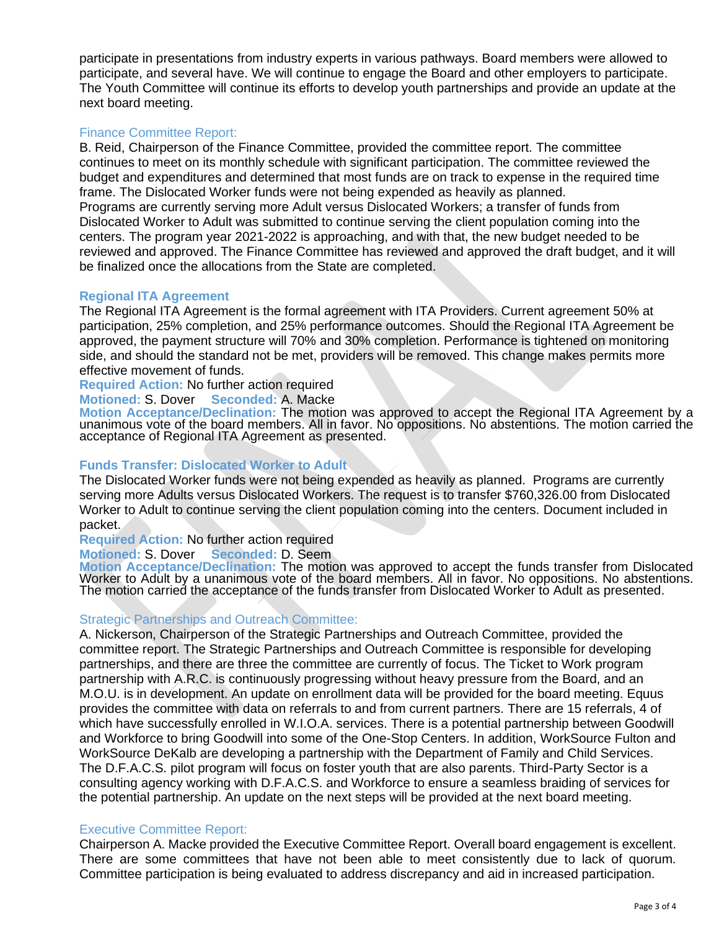participate in presentations from industry experts in various pathways. Board members were allowed to participate, and several have. We will continue to engage the Board and other employers to participate. The Youth Committee will continue its efforts to develop youth partnerships and provide an update at the next board meeting.

# Finance Committee Report:

B. Reid, Chairperson of the Finance Committee, provided the committee report. The committee continues to meet on its monthly schedule with significant participation. The committee reviewed the budget and expenditures and determined that most funds are on track to expense in the required time frame. The Dislocated Worker funds were not being expended as heavily as planned. Programs are currently serving more Adult versus Dislocated Workers; a transfer of funds from Dislocated Worker to Adult was submitted to continue serving the client population coming into the centers. The program year 2021-2022 is approaching, and with that, the new budget needed to be reviewed and approved. The Finance Committee has reviewed and approved the draft budget, and it will be finalized once the allocations from the State are completed.

# **Regional ITA Agreement**

The Regional ITA Agreement is the formal agreement with ITA Providers. Current agreement 50% at participation, 25% completion, and 25% performance outcomes. Should the Regional ITA Agreement be approved, the payment structure will 70% and 30% completion. Performance is tightened on monitoring side, and should the standard not be met, providers will be removed. This change makes permits more effective movement of funds.

**Required Action:** No further action required

**Motioned:** S. Dover **Seconded:** A. Macke

**Motion Acceptance/Declination:** The motion was approved to accept the Regional ITA Agreement by a unanimous vote of the board members. All in favor. No oppositions. No abstentions. The motion carried the acceptance of Regional ITA Agreement as presented.

# **Funds Transfer: Dislocated Worker to Adult**

The Dislocated Worker funds were not being expended as heavily as planned. Programs are currently serving more Adults versus Dislocated Workers. The request is to transfer \$760,326.00 from Dislocated Worker to Adult to continue serving the client population coming into the centers. Document included in packet.

**Required Action:** No further action required

**Motioned:** S. Dover **Seconded:** D. Seem

**Motion Acceptance/Declination:** The motion was approved to accept the funds transfer from Dislocated Worker to Adult by a unanimous vote of the board members. All in favor. No oppositions. No abstentions. The motion carried the acceptance of the funds transfer from Dislocated Worker to Adult as presented.

# Strategic Partnerships and Outreach Committee:

A. Nickerson, Chairperson of the Strategic Partnerships and Outreach Committee, provided the committee report. The Strategic Partnerships and Outreach Committee is responsible for developing partnerships, and there are three the committee are currently of focus. The Ticket to Work program partnership with A.R.C. is continuously progressing without heavy pressure from the Board, and an M.O.U. is in development. An update on enrollment data will be provided for the board meeting. Equus provides the committee with data on referrals to and from current partners. There are 15 referrals, 4 of which have successfully enrolled in W.I.O.A. services. There is a potential partnership between Goodwill and Workforce to bring Goodwill into some of the One-Stop Centers. In addition, WorkSource Fulton and WorkSource DeKalb are developing a partnership with the Department of Family and Child Services. The D.F.A.C.S. pilot program will focus on foster youth that are also parents. Third-Party Sector is a consulting agency working with D.F.A.C.S. and Workforce to ensure a seamless braiding of services for the potential partnership. An update on the next steps will be provided at the next board meeting.

# Executive Committee Report:

Chairperson A. Macke provided the Executive Committee Report. Overall board engagement is excellent. There are some committees that have not been able to meet consistently due to lack of quorum. Committee participation is being evaluated to address discrepancy and aid in increased participation.